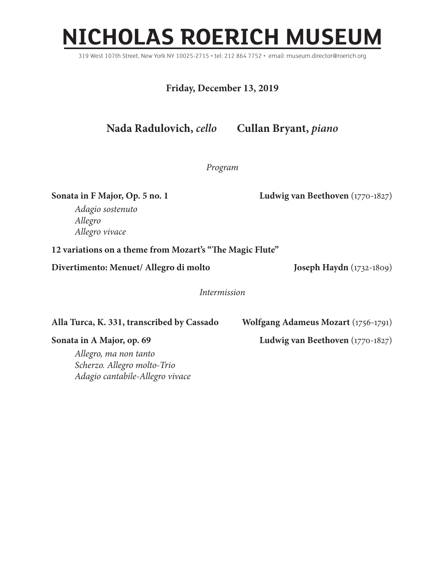## **NICHOLAS ROERICH MUSEUM**

319 West 107th Street, New York NY 10025-2715 • tel: 212 864 7752 • email: museum.director@roerich.org

**Friday, December 13, 2019**

**Nada Radulovich,** *cello* **Cullan Bryant,** *piano*

*Program*

**Sonata in F Major, Op. 5 no. 1 Ludwig van Beethoven** (1770-1827)

*Adagio sostenuto Allegro Allegro vivace*

**12 variations on a theme from Mozart's "The Magic Flute"**

**Divertimento: Menuet/ Allegro di molto Joseph Haydn** (1732-1809)

*Intermission*

**Alla Turca, K. 331, transcribed by Cassado Wolfgang Adameus Mozart** (1756-1791)

*Allegro, ma non tanto Scherzo. Allegro molto-Trio Adagio cantabile-Allegro vivace*

**Sonata in A Major, op. 69 Ludwig van Beethoven** (1770-1827)